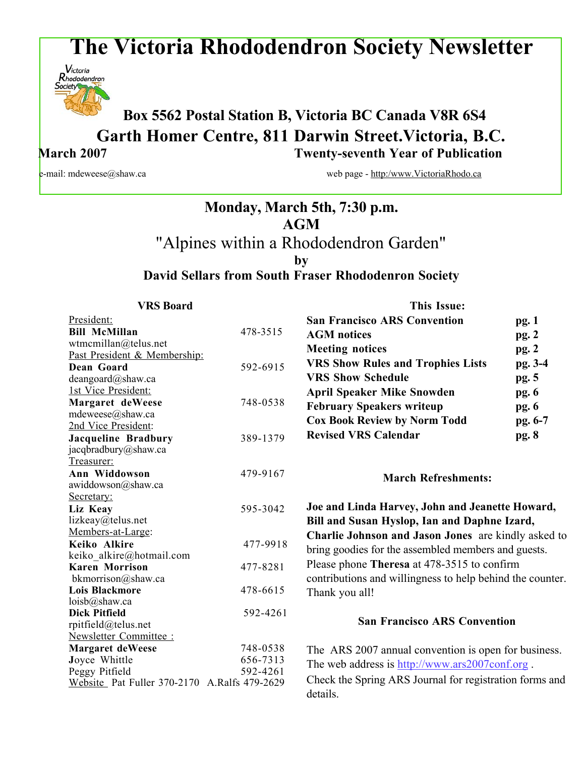# **The Victoria Rhododendron Society Newsletter**



## **Box <sup>5562</sup> Postal Station B, Victoria BC Canada V8R 6S4 Garth Homer Centre, 811 Darwin Street.Victoria, B.C. March 2007 Twenty-seventh Year of Publication**

e-mail: mdeweese@shaw.ca web page - http:/www.VictoriaRhodo.ca

## **Monday, March 5th, 7:30 p.m. AGM** "Alpines within a Rhododendron Garden" **by David Sellars from South Fraser Rhododenron Society**

| <b>VRS Board</b>                             |          | <b>This Issue:</b>                                        |         |
|----------------------------------------------|----------|-----------------------------------------------------------|---------|
| President:                                   |          | <b>San Francisco ARS Convention</b>                       | pg.1    |
| <b>Bill McMillan</b>                         | 478-3515 | <b>AGM</b> notices                                        | pg.2    |
| wtmcmillan@telus.net                         |          | <b>Meeting notices</b>                                    |         |
| Past President & Membership:                 |          |                                                           | pg.2    |
| Dean Goard                                   | 592-6915 | <b>VRS Show Rules and Trophies Lists</b>                  | pg. 3-4 |
| deangoard@shaw.ca                            |          | <b>VRS Show Schedule</b>                                  | pg. 5   |
| 1st Vice President:                          |          | <b>April Speaker Mike Snowden</b>                         | pg. 6   |
| Margaret deWeese                             | 748-0538 | <b>February Speakers writeup</b>                          | pg. 6   |
| mdeweese@shaw.ca                             |          | <b>Cox Book Review by Norm Todd</b>                       | pg. 6-7 |
| 2nd Vice President:                          |          |                                                           |         |
| <b>Jacqueline Bradbury</b>                   | 389-1379 | <b>Revised VRS Calendar</b>                               | pg. 8   |
| jacqbradbury@shaw.ca                         |          |                                                           |         |
| Treasurer:                                   |          |                                                           |         |
| Ann Widdowson                                | 479-9167 | <b>March Refreshments:</b>                                |         |
| awiddowson@shaw.ca                           |          |                                                           |         |
| Secretary:                                   |          |                                                           |         |
| Liz Keay                                     | 595-3042 | Joe and Linda Harvey, John and Jeanette Howard,           |         |
| lizkeay@telus.net                            |          | Bill and Susan Hyslop, Ian and Daphne Izard,              |         |
| Members-at-Large:                            |          | Charlie Johnson and Jason Jones are kindly asked to       |         |
| Keiko Alkire                                 | 477-9918 | bring goodies for the assembled members and guests.       |         |
| keiko alkire@hotmail.com                     |          | Please phone Theresa at 478-3515 to confirm               |         |
| <b>Karen Morrison</b>                        | 477-8281 |                                                           |         |
| bkmorrison@shaw.ca<br><b>Lois Blackmore</b>  | 478-6615 | contributions and willingness to help behind the counter. |         |
| $loisb(a)$ shaw.ca                           |          | Thank you all!                                            |         |
| <b>Dick Pitfield</b>                         | 592-4261 |                                                           |         |
| rpitfield@telus.net                          |          | <b>San Francisco ARS Convention</b>                       |         |
| Newsletter Committee :                       |          |                                                           |         |
| <b>Margaret deWeese</b>                      | 748-0538 | The ARS 2007 annual convention is open for business.      |         |
| Joyce Whittle                                | 656-7313 |                                                           |         |
| Peggy Pitfield                               | 592-4261 | The web address is http://www.ars2007conf.org.            |         |
| Website Pat Fuller 370-2170 A.Ralfs 479-2629 |          | Check the Spring ARS Journal for registration forms and   |         |
|                                              |          | details.                                                  |         |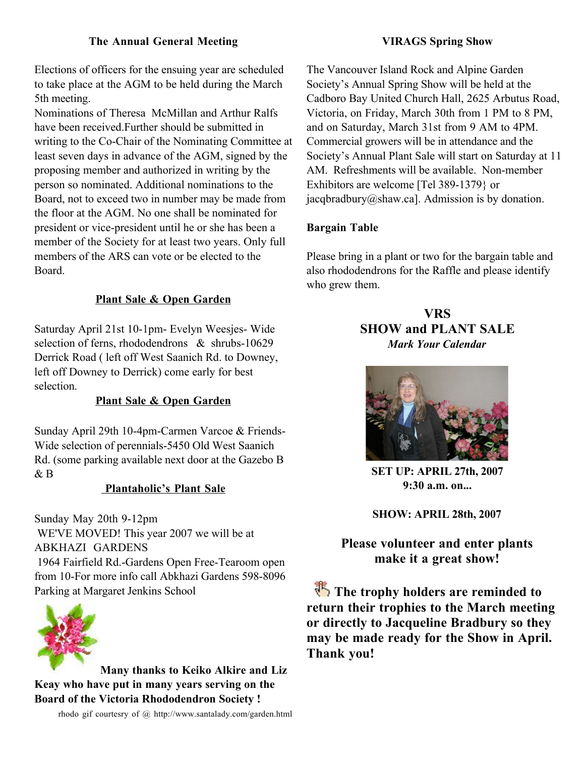## **The Annual General Meeting**

Elections of officers for the ensuing year are scheduled to take place at the AGM to be held during the March 5th meeting.

Nominations of Theresa McMillan and Arthur Ralfs have been received.Further should be submitted in writing to the Co-Chair of the Nominating Committee at least seven days in advance of the AGM, signed by the proposing member and authorized in writing by the person so nominated. Additional nominations to the Board, not to exceed two in number may be made from the floor at the AGM. No one shall be nominated for president or vice-president until he or she has been a member of the Society for at least two years. Only full members of the ARS can vote or be elected to the Board.

## **Plant Sale & Open Garden**

Saturday April 21st 10-1pm- Evelyn Weesjes- Wide selection of ferns, rhododendrons & shrubs-10629 Derrick Road ( left off West Saanich Rd. to Downey, left off Downey to Derrick) come early for best selection.

#### **Plant Sale & Open Garden**

Sunday April 29th 10-4pm-Carmen Varcoe & Friends-Wide selection of perennials-5450 Old West Saanich Rd. (some parking available next door at the Gazebo B & B

#### **Plantaholic's Plant Sale**

Sunday May 20th 9-12pm WE'VE MOVED! This year 2007 we will be at ABKHAZI GARDENS 1964 Fairfield Rd.-Gardens Open Free-Tearoom open from 10-For more info call Abkhazi Gardens 598-8096 Parking at Margaret Jenkins School



**Many thanks to Keiko Alkire and Liz Keay who have put in many years serving on the Board of the Victoria Rhododendron Society !**

rhodo gif courtesry of @ http://www.santalady.com/garden.html

#### **VIRAGS Spring Show**

The Vancouver Island Rock and Alpine Garden Society's Annual Spring Show will be held at the Cadboro Bay United Church Hall, 2625 Arbutus Road, Victoria, on Friday, March 30th from 1 PM to 8 PM, and on Saturday, March 31st from 9 AM to 4PM. Commercial growers will be in attendance and the Society's Annual Plant Sale will start on Saturday at 11 AM. Refreshments will be available. Non-member Exhibitors are welcome [Tel 389-1379} or jacqbradbury@shaw.ca]. Admission is by donation.

#### **Bargain Table**

Please bring in a plant or two for the bargain table and also rhododendrons for the Raffle and please identify who grew them.

## **VRS SHOW and PLANT SALE** *Mark Your Calendar*



**SET UP: APRIL 27th, 2007 9:30 a.m. on...**

**SHOW: APRIL 28th, 2007**

**Please volunteer and enter plants make it a great show!**

 **The trophy holders are reminded to return their trophies to the March meeting or directly to Jacqueline Bradbury so they may be made ready for the Show in April. Thank you!**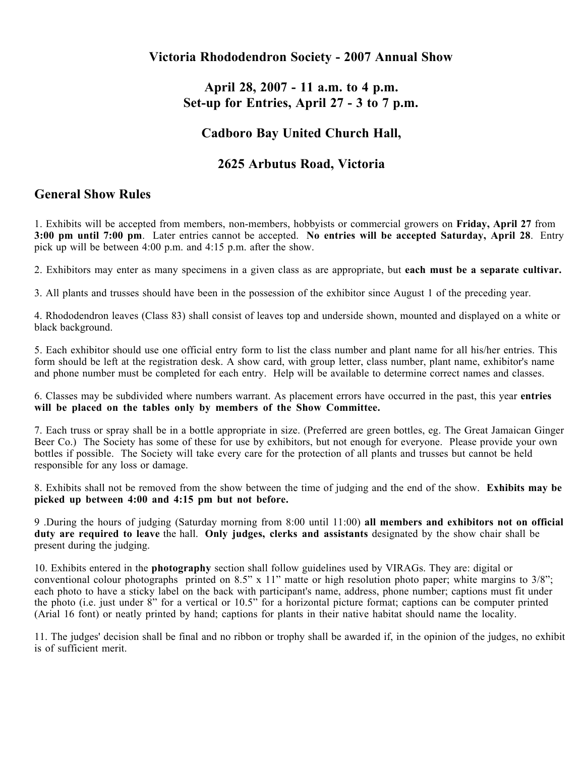## **Victoria Rhododendron Society - 2007 Annual Show**

## **April 28, 2007 - 11 a.m. to 4 p.m. Set-up for Entries, April 27 - 3 to 7 p.m.**

## **Cadboro Bay United Church Hall,**

## **2625 Arbutus Road, Victoria**

## **General Show Rules**

1. Exhibits will be accepted from members, non-members, hobbyists or commercial growers on **Friday, April 27** from **3:00 pm until 7:00 pm**. Later entries cannot be accepted. **No entries will be accepted Saturday, April 28**. Entry pick up will be between 4:00 p.m. and 4:15 p.m. after the show.

2. Exhibitors may enter as many specimens in a given class as are appropriate, but **each must be a separate cultivar.**

3. All plants and trusses should have been in the possession of the exhibitor since August 1 of the preceding year.

4. Rhododendron leaves (Class 83) shall consist of leaves top and underside shown, mounted and displayed on a white or black background.

5. Each exhibitor should use one official entry form to list the class number and plant name for all his/her entries. This form should be left at the registration desk. A show card, with group letter, class number, plant name, exhibitor's name and phone number must be completed for each entry. Help will be available to determine correct names and classes.

6. Classes may be subdivided where numbers warrant. As placement errors have occurred in the past, this year **entries will be placed on the tables only by members of the Show Committee.**

7. Each truss or spray shall be in a bottle appropriate in size. (Preferred are green bottles, eg. The Great Jamaican Ginger Beer Co.) The Society has some of these for use by exhibitors, but not enough for everyone. Please provide your own bottles if possible. The Society will take every care for the protection of all plants and trusses but cannot be held responsible for any loss or damage.

8. Exhibits shall not be removed from the show between the time of judging and the end of the show. **Exhibits may be picked up between 4:00 and 4:15 pm but not before.**

9 .During the hours of judging (Saturday morning from 8:00 until 11:00) **all members and exhibitors not on official duty are required to leave** the hall. **Only judges, clerks and assistants** designated by the show chair shall be present during the judging.

10. Exhibits entered in the **photography** section shall follow guidelines used by VIRAGs. They are: digital or conventional colour photographs printed on 8.5" x 11" matte or high resolution photo paper; white margins to 3/8"; each photo to have a sticky label on the back with participant's name, address, phone number; captions must fit under the photo (i.e. just under 8" for a vertical or 10.5" for a horizontal picture format; captions can be computer printed (Arial 16 font) or neatly printed by hand; captions for plants in their native habitat should name the locality.

11. The judges' decision shall be final and no ribbon or trophy shall be awarded if, in the opinion of the judges, no exhibit is of sufficient merit.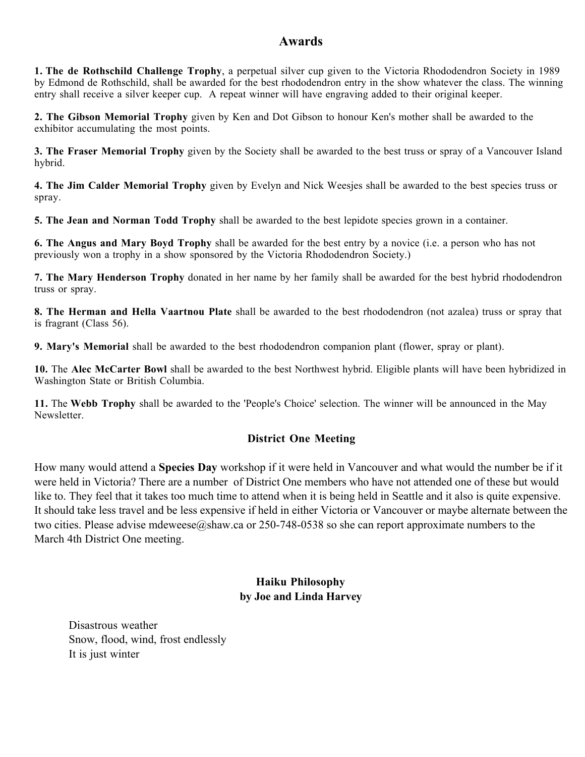## **Awards**

**1. The de Rothschild Challenge Trophy**, a perpetual silver cup given to the Victoria Rhododendron Society in 1989 by Edmond de Rothschild, shall be awarded for the best rhododendron entry in the show whatever the class. The winning entry shall receive a silver keeper cup. A repeat winner will have engraving added to their original keeper.

**2. The Gibson Memorial Trophy** given by Ken and Dot Gibson to honour Ken's mother shall be awarded to the exhibitor accumulating the most points.

**3. The Fraser Memorial Trophy** given by the Society shall be awarded to the best truss or spray of a Vancouver Island hybrid.

**4. The Jim Calder Memorial Trophy** given by Evelyn and Nick Weesjes shall be awarded to the best species truss or spray.

**5. The Jean and Norman Todd Trophy** shall be awarded to the best lepidote species grown in a container.

**6. The Angus and Mary Boyd Trophy** shall be awarded for the best entry by a novice (i.e. a person who has not previously won a trophy in a show sponsored by the Victoria Rhododendron Society.)

**7. The Mary Henderson Trophy** donated in her name by her family shall be awarded for the best hybrid rhododendron truss or spray.

**8. The Herman and Hella Vaartnou Plate** shall be awarded to the best rhododendron (not azalea) truss or spray that is fragrant (Class 56).

**9. Mary's Memorial** shall be awarded to the best rhododendron companion plant (flower, spray or plant).

**10.** The **Alec McCarter Bowl** shall be awarded to the best Northwest hybrid. Eligible plants will have been hybridized in Washington State or British Columbia.

**11.** The **Webb Trophy** shall be awarded to the 'People's Choice' selection. The winner will be announced in the May Newsletter.

## **District One Meeting**

How many would attend a **Species Day** workshop if it were held in Vancouver and what would the number be if it were held in Victoria? There are a number of District One members who have not attended one of these but would like to. They feel that it takes too much time to attend when it is being held in Seattle and it also is quite expensive. It should take less travel and be less expensive if held in either Victoria or Vancouver or maybe alternate between the two cities. Please advise mdeweese@shaw.ca or 250-748-0538 so she can report approximate numbers to the March 4th District One meeting.

## **Haiku Philosophy by Joe and Linda Harvey**

Disastrous weather Snow, flood, wind, frost endlessly It is just winter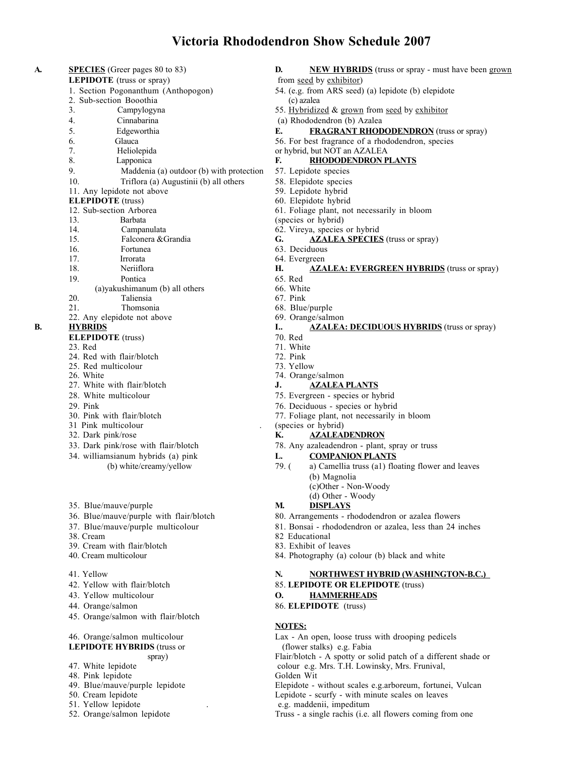#### **Victoria Rhododendron Show Schedule 2007**

| A. | <b>SPECIES</b> (Greer pages 80 to 83)          | <b>NEW HYBRIDS</b> (truss or spray - must have been grown<br>D. |  |
|----|------------------------------------------------|-----------------------------------------------------------------|--|
|    | <b>LEPIDOTE</b> (truss or spray)               | from seed by exhibitor)                                         |  |
|    | 1. Section Pogonanthum (Anthopogon)            | 54. (e.g. from ARS seed) (a) lepidote (b) elepidote             |  |
|    | 2. Sub-section Booothia                        | (c) azalea                                                      |  |
|    | 3.<br>Campylogyna                              | 55. Hybridized & grown from seed by exhibitor                   |  |
|    | 4.<br>Cinnabarina                              | (a) Rhododendron (b) Azalea                                     |  |
|    | 5.<br>Edgeworthia                              | E.<br><b>FRAGRANT RHODODENDRON</b> (truss or spray)             |  |
|    | 6.<br>Glauca                                   | 56. For best fragrance of a rhododendron, species               |  |
|    | 7.<br>Heliolepida                              | or hybrid, but NOT an AZALEA                                    |  |
|    | 8.<br>Lapponica                                | F.<br><b>RHODODENDRON PLANTS</b>                                |  |
|    | 9.<br>Maddenia (a) outdoor (b) with protection | 57. Lepidote species                                            |  |
|    | 10.<br>Triflora (a) Augustinii (b) all others  | 58. Elepidote species                                           |  |
|    | 11. Any lepidote not above                     | 59. Lepidote hybrid                                             |  |
|    | <b>ELEPIDOTE</b> (truss)                       | 60. Elepidote hybrid                                            |  |
|    | 12. Sub-section Arborea                        | 61. Foliage plant, not necessarily in bloom                     |  |
|    | 13.<br>Barbata                                 | (species or hybrid)                                             |  |
|    | 14.<br>Campanulata                             | 62. Vireya, species or hybrid                                   |  |
|    | 15.<br>Falconera & Grandia                     | <b>AZALEA SPECIES</b> (truss or spray)<br>G.                    |  |
|    | 16.<br>Fortunea                                | 63. Deciduous                                                   |  |
|    | 17.<br>Irrorata                                | 64. Evergreen                                                   |  |
|    | 18.<br>Neriiflora                              | Н.<br><b>AZALEA: EVERGREEN HYBRIDS</b> (truss or spray)         |  |
|    | Pontica<br>19.                                 | 65. Red                                                         |  |
|    | (a)yakushimanum (b) all others                 | 66. White                                                       |  |
|    | 20.<br>Taliensia                               | 67. Pink                                                        |  |
|    | 21.<br>Thomsonia                               | 68. Blue/purple                                                 |  |
| B. | 22. Any elepidote not above                    | 69. Orange/salmon<br>I                                          |  |
|    | <b>HYBRIDS</b>                                 | <b>AZALEA: DECIDUOUS HYBRIDS</b> (truss or spray)<br>70. Red    |  |
|    | <b>ELEPIDOTE</b> (truss)<br>23. Red            | 71. White                                                       |  |
|    | 24. Red with flair/blotch                      | 72. Pink                                                        |  |
|    | 25. Red multicolour                            | 73. Yellow                                                      |  |
|    | 26. White                                      | 74. Orange/salmon                                               |  |
|    | 27. White with flair/blotch                    | J.<br><b>AZALEA PLANTS</b>                                      |  |
|    | 28. White multicolour                          | 75. Evergreen - species or hybrid                               |  |
|    | 29. Pink                                       | 76. Deciduous - species or hybrid                               |  |
|    | 30. Pink with flair/blotch                     | 77. Foliage plant, not necessarily in bloom                     |  |
|    | 31 Pink multicolour                            | (species or hybrid)                                             |  |
|    | 32. Dark pink/rose                             | К.<br><b>AZALEADENDRON</b>                                      |  |
|    | 33. Dark pink/rose with flair/blotch           | 78. Any azaleadendron - plant, spray or truss                   |  |
|    | 34. williamsianum hybrids (a) pink             | <b>COMPANION PLANTS</b><br>L.                                   |  |
|    | (b) white/creamy/yellow                        | 79. (<br>a) Camellia truss (a1) floating flower and leaves      |  |
|    |                                                | (b) Magnolia                                                    |  |
|    |                                                | (c)Other - Non-Woody                                            |  |
|    |                                                | (d) Other - Woody                                               |  |
|    | 35. Blue/mauve/purple                          | M.<br><b>DISPLAYS</b>                                           |  |
|    | 36. Blue/mauve/purple with flair/blotch        | 80. Arrangements - rhododendron or azalea flowers               |  |
|    | 37. Blue/mauve/purple multicolour              | 81. Bonsai - rhododendron or azalea, less than 24 inches        |  |
|    | 38. Cream                                      | 82 Educational                                                  |  |
|    | 39. Cream with flair/blotch                    | 83. Exhibit of leaves                                           |  |
|    | 40. Cream multicolour                          | 84. Photography (a) colour (b) black and white                  |  |
|    | 41. Yellow                                     | N.<br><b>NORTHWEST HYBRID (WASHINGTON-B.C.)</b>                 |  |
|    | 42. Yellow with flair/blotch                   | 85. LEPIDOTE OR ELEPIDOTE (truss)                               |  |
|    |                                                |                                                                 |  |

- 
- 43. Yellow multicolour **O. HAMMERHEADS** 44. Orange/salmon 86. **ELEPIDOTE** (truss)
- 45. Orange/salmon with flair/blotch
- 46. Orange/salmon multicolour Lax An open, loose truss with drooping pedicels

# **LEPIDOTE HYBRIDS** (truss or (flower stalks) e.g. Fabia spray) (flower stalks) e.g. Fabia spray)

- 47. White lepidote colour e.g. Mrs. T.H. Lowinsky, Mrs. Frunival,
- 
- 48. Pink lepidote Golden Wit<br>
49. Blue/mauve/purple lepidote the Golden Golden Wit<br>
Elepidote v
- 
- 
- 51. Yellow lepidote . e.g. maddenii, impeditum
- 49. Blue/mauve/purple lepidote Elepidote without scales e.g.arboreum, fortunei, Vulcan 50. Cream lepidote without scales on leaves 50. Cream lepidote Lepidote - scurfy - with minute scales on leaves 51. Yellow lepidote - scurfy - with minute scales on leaves e.g. maddenii, impeditum

Flair/blotch - A spotty or solid patch of a different shade or

**NOTES:**

Truss - a single rachis (i.e. all flowers coming from one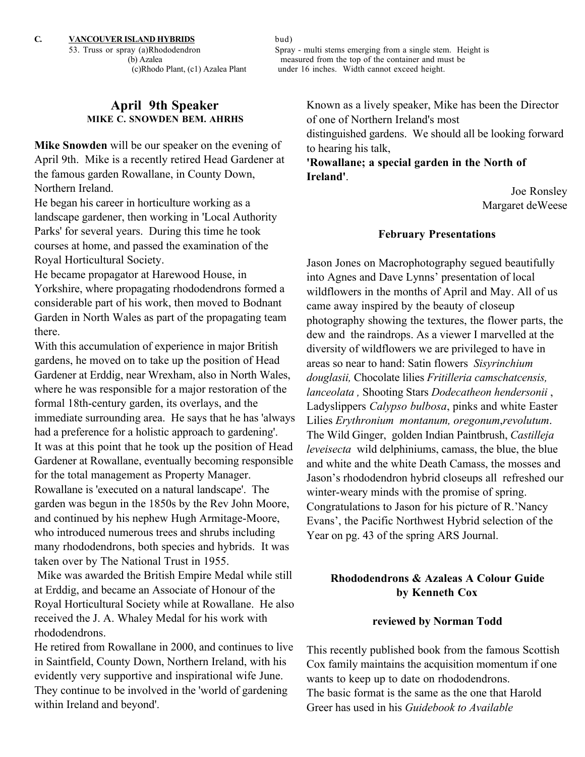## **April 9th Speaker MIKE C. SNOWDEN BEM. AHRHS**

**Mike Snowden** will be our speaker on the evening of April 9th. Mike is a recently retired Head Gardener at the famous garden Rowallane, in County Down, Northern Ireland.

He began his career in horticulture working as a landscape gardener, then working in 'Local Authority Parks' for several years. During this time he took courses at home, and passed the examination of the Royal Horticultural Society.

He became propagator at Harewood House, in Yorkshire, where propagating rhododendrons formed a considerable part of his work, then moved to Bodnant Garden in North Wales as part of the propagating team there.

With this accumulation of experience in major British gardens, he moved on to take up the position of Head Gardener at Erddig, near Wrexham, also in North Wales, where he was responsible for a major restoration of the formal 18th-century garden, its overlays, and the immediate surrounding area. He says that he has 'always had a preference for a holistic approach to gardening'. It was at this point that he took up the position of Head Gardener at Rowallane, eventually becoming responsible for the total management as Property Manager. Rowallane is 'executed on a natural landscape'. The garden was begun in the 1850s by the Rev John Moore, and continued by his nephew Hugh Armitage-Moore, who introduced numerous trees and shrubs including many rhododendrons, both species and hybrids. It was taken over by The National Trust in 1955.

Mike was awarded the British Empire Medal while still at Erddig, and became an Associate of Honour of the Royal Horticultural Society while at Rowallane. He also received the J. A. Whaley Medal for his work with rhododendrons.

He retired from Rowallane in 2000, and continues to live in Saintfield, County Down, Northern Ireland, with his evidently very supportive and inspirational wife June. They continue to be involved in the 'world of gardening within Ireland and beyond'.

53. Truss or spray (a)Rhododendron Spray - multi stems emerging from a single stem. Height is (b) Azalea measured from the top of the container and must be (c)Rhodo Plant, (c1) Azalea Plant under 16 inches. Width cannot exceed height. under 16 inches. Width cannot exceed height.

to hearing his talk,

Known as a lively speaker, Mike has been the Director of one of Northern Ireland's most distinguished gardens. We should all be looking forward

**'Rowallane; a special garden in the North of Ireland'**.

> Joe Ronsley Margaret deWeese

#### **February Presentations**

Jason Jones on Macrophotography segued beautifully into Agnes and Dave Lynns' presentation of local wildflowers in the months of April and May. All of us came away inspired by the beauty of closeup photography showing the textures, the flower parts, the dew and the raindrops. As a viewer I marvelled at the diversity of wildflowers we are privileged to have in areas so near to hand: Satin flowers *Sisyrinchium douglasii,* Chocolate lilies *Fritilleria camschatcensis, lanceolata ,* Shooting Stars *Dodecatheon hendersonii* , Ladyslippers *Calypso bulbosa*, pinks and white Easter Lilies *Erythronium montanum, oregonum*,*revolutum*. The Wild Ginger, golden Indian Paintbrush, *Castilleja leveisecta* wild delphiniums, camass, the blue, the blue and white and the white Death Camass, the mosses and Jason's rhododendron hybrid closeups all refreshed our winter-weary minds with the promise of spring. Congratulations to Jason for his picture of R.'Nancy Evans', the Pacific Northwest Hybrid selection of the Year on pg. 43 of the spring ARS Journal.

## **Rhododendrons & Azaleas A Colour Guide by Kenneth Cox**

#### **reviewed by Norman Todd**

This recently published book from the famous Scottish Cox family maintains the acquisition momentum if one wants to keep up to date on rhododendrons. The basic format is the same as the one that Harold Greer has used in his *Guidebook to Available*